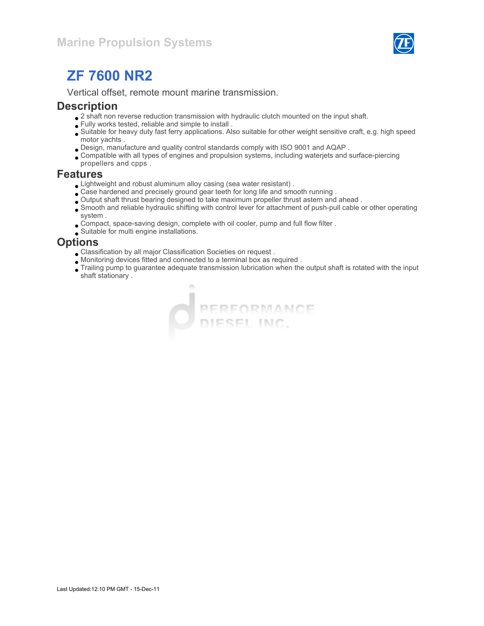

# ZF 7600 NR2

Vertical offset, remote mount marine transmission.

#### **Description**

- $\bullet$  2 shaft non reverse reduction transmission with hydraulic clutch mounted on the input shaft.
- Fully works tested, reliable and simple to install .
- Suitable for heavy duty fast ferry applications. Also suitable for other weight sensitive craft, e.g. high speed motor yachts .
- Design, manufacture and quality control standards comply with ISO 9001 and AQAP .
- Compatible with all types of engines and propulsion systems, including waterjets and surface-piercing propellers and cpps .

#### Features

- Lightweight and robust aluminum alloy casing (sea water resistant) .
- Case hardened and precisely ground gear teeth for long life and smooth running .
- Output shaft thrust bearing designed to take maximum propeller thrust astern and ahead .
- Smooth and reliable hydraulic shifting with control lever for attachment of push-pull cable or other operating system .
- Compact, space-saving design, complete with oil cooler, pump and full flow filter .
- Suitable for multi engine installations.

#### **Options**

- Classification by all major Classification Societies on request .
- Monitoring devices fitted and connected to a terminal box as required .
- Trailing pump to guarantee adequate transmission lubrication when the output shaft is rotated with the input shaft stationary .

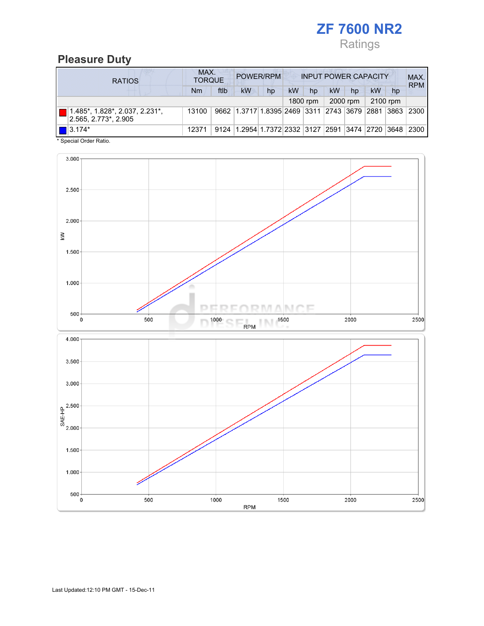

#### Pleasure Duty

| <b>RATIOS</b>                                                         | MAX.<br><b>TORQUE</b> | POWER/RPM<br><b>INPUT POWER CAPACITY</b> |                                                  |    |           |          |    | MAX.<br><b>RPM</b> |    |                |      |
|-----------------------------------------------------------------------|-----------------------|------------------------------------------|--------------------------------------------------|----|-----------|----------|----|--------------------|----|----------------|------|
|                                                                       | Nm                    | ftlb                                     | <b>kW</b>                                        | hp | <b>kW</b> | hp       | kW | hp                 | kW | hp             |      |
|                                                                       |                       |                                          |                                                  |    |           | 1800 rpm |    | 2000 rpm           |    | 2100 rpm       |      |
| $1.485^*$ , $1.828^*$ , $2.037$ , $2.231^*$ ,<br>2.565, 2.773*, 2.905 | 13100                 |                                          | 9662 1.3717 1.8395 2469 3311 2743 3679 2881      |    |           |          |    |                    |    | $ 3863\rangle$ | 2300 |
| $\blacksquare$ 3.174*                                                 | 12371                 |                                          | 9124 1.2954 1.7372 2332 3127 2591 3474 2720 3648 |    |           |          |    |                    |    |                | 2300 |

\* Special Order Ratio.

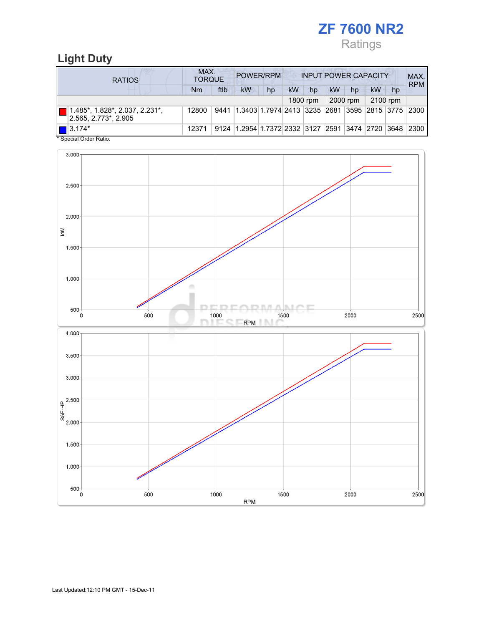# ZF 7600 NR2 Ratings

## Light Duty

| <b>RATIOS</b>                                                      | MAX.<br>POWER/RPM<br><b>INPUT POWER CAPACITY</b><br><b>TORQUE</b> |      |                                                        |    |    |          |    |          | MAX.<br><b>RPM</b> |    |  |
|--------------------------------------------------------------------|-------------------------------------------------------------------|------|--------------------------------------------------------|----|----|----------|----|----------|--------------------|----|--|
|                                                                    | Nm                                                                | ftlb | kW                                                     | hp | kW | hp       | kW | hp       | <b>kW</b>          | hp |  |
|                                                                    |                                                                   |      |                                                        |    |    | 1800 rpm |    | 2000 rpm | 2100 rpm           |    |  |
| $\parallel$ 1.485*, 1.828*, 2.037, 2.231*,<br>2.565. 2.773*. 2.905 | 12800                                                             | 9441 | 1.3403 1.7974 2413  3235  2681  3595  2815  3775  2300 |    |    |          |    |          |                    |    |  |
| $  $   3.174*<br>$*$ On a simil Onder Definition                   | 12371                                                             |      | 9124 1.2954 1.7372 2332 3127 2591 3474 2720 3648 2300  |    |    |          |    |          |                    |    |  |

Special Order Ratio.

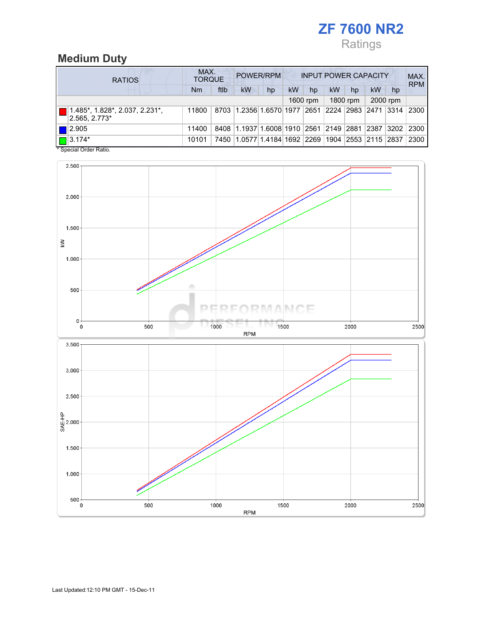# ZF 7600 NR2 Ratings

## Medium Duty

|  | <b>RATIOS</b>                                                     |       | MAX.<br>POWER/RPM<br><b>INPUT POWER CAPACITY</b><br><b>TORQUE</b> |                                                  |    |    |          |    |          |    |          |            |
|--|-------------------------------------------------------------------|-------|-------------------------------------------------------------------|--------------------------------------------------|----|----|----------|----|----------|----|----------|------------|
|  |                                                                   | Nm    | ftlb                                                              | kW                                               | hp | kW | hp       | kW | hp       | kW | hp       | <b>RPM</b> |
|  |                                                                   |       |                                                                   |                                                  |    |    | 1600 rpm |    | 1800 rpm |    | 2000 rpm |            |
|  | $ 1.485^*$ , 1.828 $^*$ , 2.037, 2.231 $^*$ ,<br>$ 2.565, 2.773*$ | 11800 |                                                                   | 8703 1.2356 1.6570 1977 2651 2224 2983 2471 3314 |    |    |          |    |          |    |          | 2300       |
|  | $\blacksquare$  2.905                                             | 11400 |                                                                   | 8408 1.1937 1.6008 1910 2561 2149 2881 2387 3202 |    |    |          |    |          |    |          | 2300       |
|  | $\boxed{\Box}$ 3.174*                                             | 10101 | 7450                                                              | 1.0577 1.4184 1692 2269 1904 2553 2115 2837      |    |    |          |    |          |    |          | 2300       |

\* Special Order Ratio.

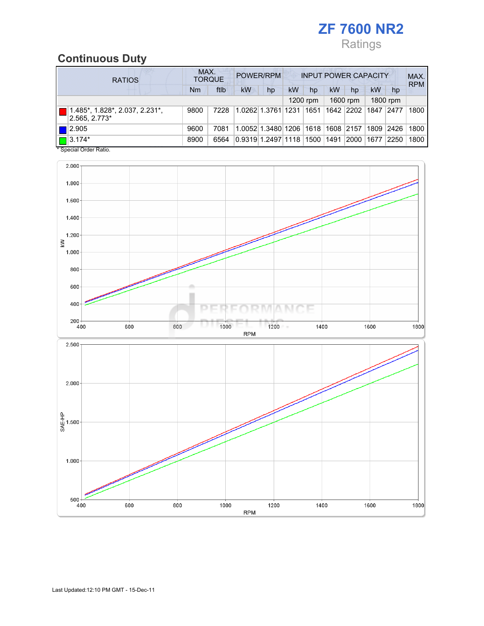# ZF 7600 NR2 Ratings

### Continuous Duty

| <b>RATIOS</b>                                   |      | MAX.<br>POWER/RPM<br><b>INPUT POWER CAPACITY</b><br><b>TORQUE</b> |                    |                                   |    |          |      |           |      |                |            |
|-------------------------------------------------|------|-------------------------------------------------------------------|--------------------|-----------------------------------|----|----------|------|-----------|------|----------------|------------|
|                                                 | Nm   | ftlb                                                              | kW                 | hp                                | kW | hp       | kW   | hp        | kW   | hp             | <b>RPM</b> |
|                                                 |      |                                                                   |                    |                                   |    | 1200 rpm |      | 1600 rpm  |      | 1800 rpm       |            |
| 1.485*, 1.828*, 2.037, 2.231*,<br>2.565, 2.773* | 9800 | 7228                                                              |                    | 1.0262 1.3761 1231                |    | 1651     |      | 1642 2202 | 1847 | 2477           | 1800       |
| 2.905                                           | 9600 | 7081                                                              |                    | 1.0052 1.3480 1206 1618 1608 2157 |    |          |      |           | 1809 | $ 2426\rangle$ | 1800       |
| $\blacksquare$ 3.174*                           | 8900 | 6564                                                              | 0.9319 1.2497 1118 |                                   |    | 1500     | 1491 | 2000      | 1677 | 2250           | 1800       |

\* Special Order Ratio.

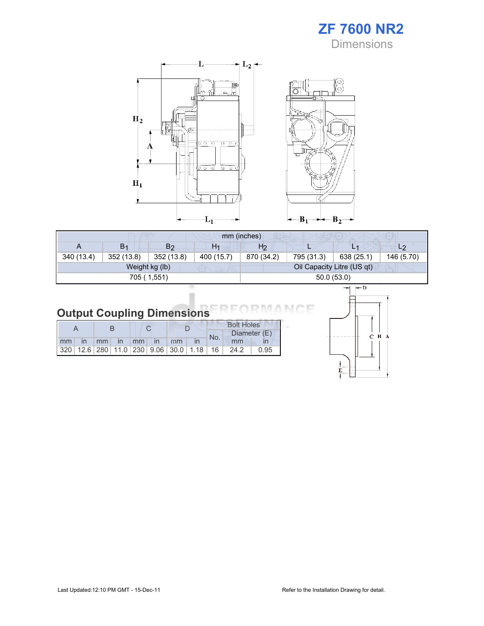



|                | mm (inches)    |                |                |                |            |                            |                |  |  |
|----------------|----------------|----------------|----------------|----------------|------------|----------------------------|----------------|--|--|
| $\overline{A}$ | B <sub>1</sub> | B <sub>2</sub> | H <sub>1</sub> | H <sub>2</sub> |            | $L_{\perp}$                | L <sub>2</sub> |  |  |
| 340 (13.4)     | 352 (13.8)     | 352 (13.8)     | 400 (15.7)     | 870 (34.2)     | 795 (31.3) | 638 (25.1)                 | 146 (5.70)     |  |  |
|                |                | Weight kg (lb) |                |                |            | Oil Capacity Litre (US qt) |                |  |  |
|                |                | 705 (1,551)    |                | 50.0(53.0)     |            |                            |                |  |  |

# Output Coupling Dimensions

|                |  |          |  |               |                                                         | <b>Bolt Holes</b> |      |              |  |  |
|----------------|--|----------|--|---------------|---------------------------------------------------------|-------------------|------|--------------|--|--|
|                |  |          |  |               |                                                         | No.               |      | Diameter (E) |  |  |
| m <sub>m</sub> |  | mm in mm |  | $\mathsf{In}$ | mm                                                      |                   | mm   |              |  |  |
|                |  |          |  |               | 320   12.6   280   11.0   230   9.06   30.0   1.18   16 |                   | 24.2 | 0.95         |  |  |